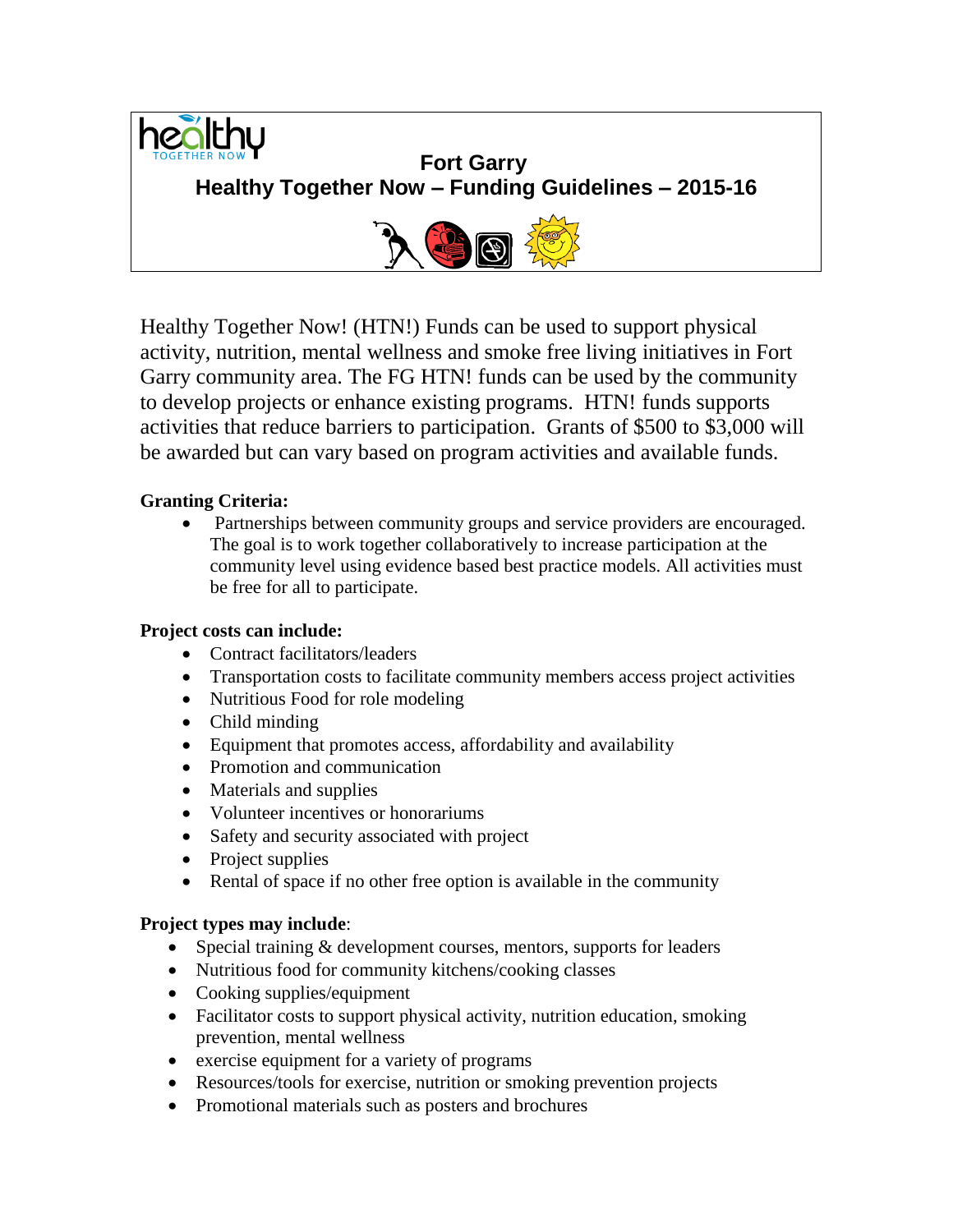

Healthy Together Now! (HTN!) Funds can be used to support physical activity, nutrition, mental wellness and smoke free living initiatives in Fort Garry community area. The FG HTN! funds can be used by the community to develop projects or enhance existing programs. HTN! funds supports activities that reduce barriers to participation. Grants of \$500 to \$3,000 will be awarded but can vary based on program activities and available funds.

# **Granting Criteria:**

 Partnerships between community groups and service providers are encouraged. The goal is to work together collaboratively to increase participation at the community level using evidence based best practice models. All activities must be free for all to participate.

## **Project costs can include:**

- Contract facilitators/leaders
- Transportation costs to facilitate community members access project activities
- Nutritious Food for role modeling
- Child minding
- Equipment that promotes access, affordability and availability
- Promotion and communication
- Materials and supplies
- Volunteer incentives or honorariums
- Safety and security associated with project
- Project supplies
- Rental of space if no other free option is available in the community

## **Project types may include**:

- Special training & development courses, mentors, supports for leaders
- Nutritious food for community kitchens/cooking classes
- Cooking supplies/equipment
- Facilitator costs to support physical activity, nutrition education, smoking prevention, mental wellness
- exercise equipment for a variety of programs
- Resources/tools for exercise, nutrition or smoking prevention projects
- Promotional materials such as posters and brochures